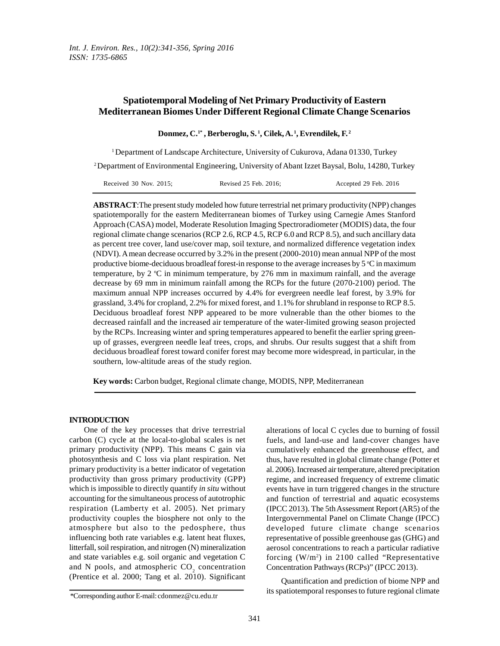# **Spatiotemporal Modeling of Net Primary Productivity of Eastern Mediterranean Biomes Under Different Regional Climate Change Scenarios**

**Donmez, C.1\* , Berberoglu, S.<sup>1</sup>, Cilek, A.<sup>1</sup>, Evrendilek, F.<sup>2</sup>**

<sup>1</sup>Department of Landscape Architecture, University of Cukurova, Adana 01330, Turkey

<sup>2</sup>Department of Environmental Engineering, University of Abant Izzet Baysal, Bolu, 14280, Turkey

| Received $30$ Nov. $2015$ ; | Revised 25 Feb. 2016; | Accepted 29 Feb. 2016 |
|-----------------------------|-----------------------|-----------------------|
|-----------------------------|-----------------------|-----------------------|

**ABSTRACT**:The present study modeled how future terrestrial net primary productivity (NPP) changes spatiotemporally for the eastern Mediterranean biomes of Turkey using Carnegie Ames Stanford Approach (CASA) model, Moderate Resolution Imaging Spectroradiometer (MODIS) data, the four regional climate change scenarios (RCP 2.6, RCP 4.5, RCP 6.0 and RCP 8.5), and such ancillary data as percent tree cover, land use/cover map, soil texture, and normalized difference vegetation index (NDVI). A mean decrease occurred by 3.2% in the present (2000-2010) mean annual NPP of the most productive biome-deciduous broadleaf forest-in response to the average increases by  $5^{\circ}$ C in maximum temperature, by 2  $\degree$ C in minimum temperature, by 276 mm in maximum rainfall, and the average decrease by 69 mm in minimum rainfall among the RCPs for the future (2070-2100) period. The maximum annual NPP increases occurred by 4.4% for evergreen needle leaf forest, by 3.9% for grassland, 3.4% for cropland, 2.2% for mixed forest, and 1.1% for shrubland in response to RCP 8.5. Deciduous broadleaf forest NPP appeared to be more vulnerable than the other biomes to the decreased rainfall and the increased air temperature of the water-limited growing season projected by the RCPs. Increasing winter and spring temperatures appeared to benefit the earlier spring greenup of grasses, evergreen needle leaf trees, crops, and shrubs. Our results suggest that a shift from deciduous broadleaf forest toward conifer forest may become more widespread, in particular, in the southern, low-altitude areas of the study region.

**Key words:** Carbon budget, Regional climate change, MODIS, NPP, Mediterranean

#### **INTRODUCTION**

One of the key processes that drive terrestrial carbon (C) cycle at the local-to-global scales is net primary productivity (NPP). This means C gain via photosynthesis and C loss via plant respiration. Net primary productivity is a better indicator of vegetation productivity than gross primary productivity (GPP) which is impossible to directly quantify *in situ* without accounting for the simultaneous process of autotrophic respiration (Lamberty et al. 2005). Net primary productivity couples the biosphere not only to the atmosphere but also to the pedosphere, thus influencing both rate variables e.g. latent heat fluxes, litterfall, soil respiration, and nitrogen (N) mineralization and state variables e.g. soil organic and vegetation C and N pools, and atmospheric  $CO_2$  concentration  $Co$ (Prentice et al. 2000; Tang et al. 2010). Significant

alterations of local C cycles due to burning of fossil fuels, and land-use and land-cover changes have cumulatively enhanced the greenhouse effect, and thus, have resulted in global climate change (Potter et al. 2006). Increased air temperature, altered precipitation regime, and increased frequency of extreme climatic events have in turn triggered changes in the structure and function of terrestrial and aquatic ecosystems (IPCC 2013). The 5th Assessment Report (AR5) of the Intergovernmental Panel on Climate Change (IPCC) developed future climate change scenarios representative of possible greenhouse gas (GHG) and aerosol concentrations to reach a particular radiative forcing  $(W/m^2)$  in 2100 called "Representative Concentration Pathways (RCPs)" (IPCC 2013).

Quantification and prediction of biome NPP and its spatiotemporal responses to future regional climate

<sup>\*</sup>Corresponding author E-mail: cdonmez@cu.edu.tr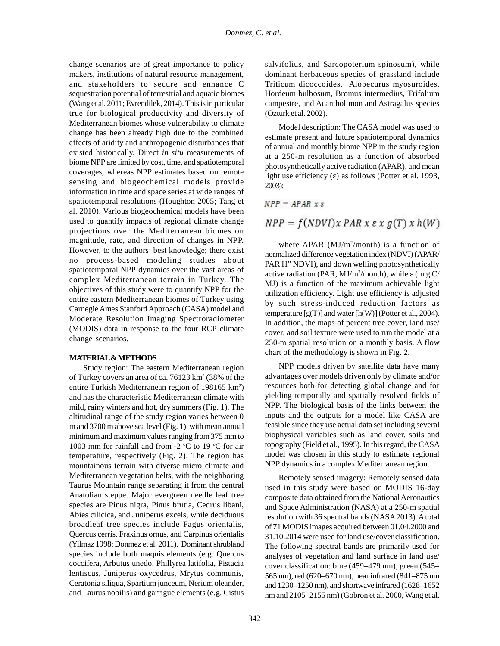change scenarios are of great importance to policy makers, institutions of natural resource management, and stakeholders to secure and enhance C sequestration potential of terrestrial and aquatic biomes (Wang et al. 2011; Evrendilek, 2014). This is in particular true for biological productivity and diversity of Mediterranean biomes whose vulnerability to climate change has been already high due to the combined effects of aridity and anthropogenic disturbances that existed historically. Direct *in situ* measurements of biome NPP are limited by cost, time, and spatiotemporal coverages, whereas NPP estimates based on remote sensing and biogeochemical models provide information in time and space series at wide ranges of spatiotemporal resolutions (Houghton 2005; Tang et al. 2010). Various biogeochemical models have been used to quantify impacts of regional climate change  $NPP = f(NDVI)x$   $PAR \times \varepsilon \times g(T) \times h(W)$ projections over the Mediterranean biomes on magnitude, rate, and direction of changes in NPP. However, to the authors' best knowledge; there exist no process-based modeling studies about spatiotemporal NPP dynamics over the vast areas of complex Mediterranean terrain in Turkey. The objectives of this study were to quantify NPP for the entire eastern Mediterranean biomes of Turkey using Carnegie Ames Stanford Approach (CASA) model and Moderate Resolution Imaging Spectroradiometer (MODIS) data in response to the four RCP climate change scenarios.

#### **MATERIAL & METHODS**

Study region: The eastern Mediterranean region of Turkey covers an area of ca.  $76123 \text{ km}^2 (38\% \text{ of the})$ entire Turkish Mediterranean region of 198165 km<sup>2</sup>) and has the characteristic Mediterranean climate with mild, rainy winters and hot, dry summers (Fig. 1). The altitudinal range of the study region varies between 0 m and 3700 m above sea level (Fig. 1), with mean annual minimum and maximum values ranging from 375 mm to 1003 mm for rainfall and from -2  $\degree$ C to 19  $\degree$ C for air temperature, respectively (Fig. 2). The region has mountainous terrain with diverse micro climate and Mediterranean vegetation belts, with the neighboring Taurus Mountain range separating it from the central Anatolian steppe. Major evergreen needle leaf tree species are Pinus nigra, Pinus brutia, Cedrus libani, Abies cilicica, and Juniperus excels, while deciduous broadleaf tree species include Fagus orientalis, Quercus cerris, Fraxinus ornus, and Carpinus orientalis (Yilmaz 1998; Donmez et al. 2011). Dominant shrubland species include both maquis elements (e.g. Quercus coccifera, Arbutus unedo, Phillyrea latifolia, Pistacia lentiscus, Juniperus oxycedrus, Mrytus communis, Ceratonia siliqua, Spartium junceum, Nerium oleander, and Laurus nobilis) and garrigue elements (e.g. Cistus

salvifolius, and Sarcopoterium spinosum), while dominant herbaceous species of grassland include Triticum dicoccoides, Alopecurus myosuroides, Hordeum bulbosum, Bromus intermedius, Trifolium campestre, and Acantholimon and Astragalus species (Ozturk et al. 2002).

Model description: The CASA model was used to estimate present and future spatiotemporal dynamics of annual and monthly biome NPP in the study region at a 250-m resolution as a function of absorbed photosynthetically active radiation (APAR), and mean light use efficiency () as follows (Potter et al. 1993, 2003):

$$
NPP = APAR \times \varepsilon
$$

where  $APAR$  (MJ/m<sup>2</sup>/month) is a function of normalized difference vegetation index (NDVI) (APAR/ PAR H" NDVI), and down welling photosynthetically active radiation (PAR, MJ/m<sup>2</sup>/month), while (in g C/ MJ) is a function of the maximum achievable light utilization efficiency. Light use efficiency is adjusted by such stress-induced reduction factors as temperature  $[g(T)]$  and water  $[h(W)]$  (Potter et al., 2004). In addition, the maps of percent tree cover, land use/ cover, and soil texture were used to run the model at a 250-m spatial resolution on a monthly basis. A flow chart of the methodology is shown in Fig. 2.

NPP models driven by satellite data have many advantages over models driven only by climate and/or resources both for detecting global change and for yielding temporally and spatially resolved fields of NPP. The biological basis of the links between the inputs and the outputs for a model like CASA are feasible since they use actual data set including several biophysical variables such as land cover, soils and topography (Field et al., 1995). In this regard, the CASA model was chosen in this study to estimate regional NPP dynamics in a complex Mediterranean region.

Remotely sensed imagery: Remotely sensed data used in this study were based on MODIS 16-day composite data obtained from the National Aeronautics and Space Administration (NASA) at a 250-m spatial resolution with 36 spectral bands (NASA 2013). A total of 71 MODIS images acquired between 01.04.2000 and 31.10.2014 were used for land use/cover classification. The following spectral bands are primarily used for analyses of vegetation and land surface in land use/ cover classification: blue (459–479 nm), green (545– 565 nm), red (620–670 nm), near infrared (841–875 nm and 1230–1250 nm), and shortwave infrared (1628–1652 nm and 2105–2155 nm) (Gobron et al. 2000, Wang et al.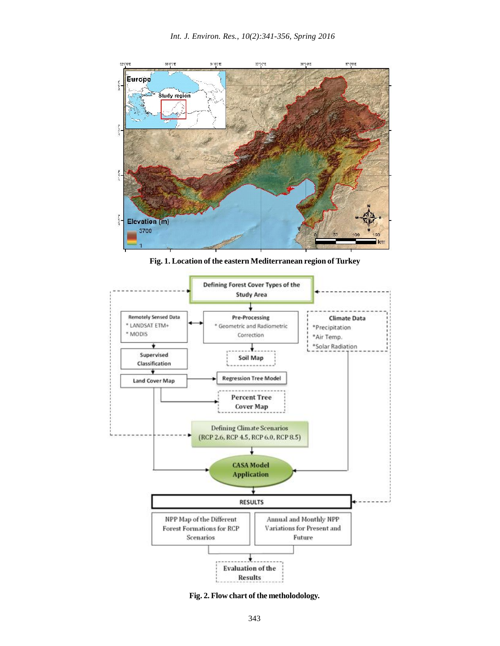

**Fig. 1. Location of the eastern Mediterranean region of Turkey**



**Fig. 2. Flow chart of the metholodology.**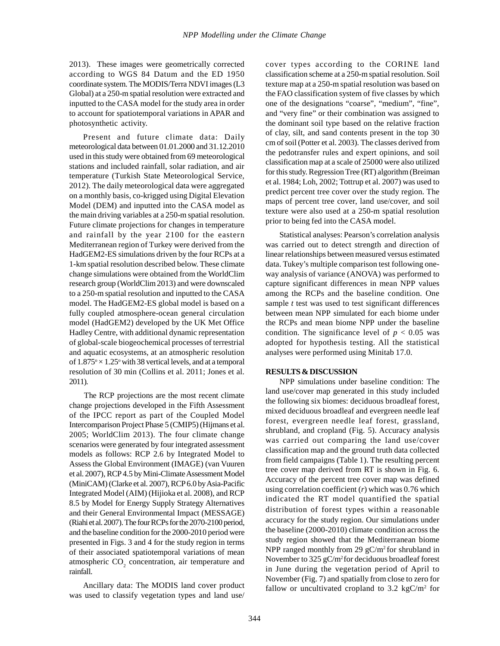2013). These images were geometrically corrected according to WGS 84 Datum and the ED 1950 coordinate system. The MODIS/Terra NDVI images (L3 Global) at a 250-m spatial resolution were extracted and inputted to the CASA model for the study area in order to account for spatiotemporal variations in APAR and photosynthetic activity.

Present and future climate data: Daily meteorological data between 01.01.2000 and 31.12.2010 used in this study were obtained from 69 meteorological stations and included rainfall, solar radiation, and air temperature (Turkish State Meteorological Service, 2012). The daily meteorological data were aggregated on a monthly basis, co-krigged using Digital Elevation Model (DEM) and inputted into the CASA model as the main driving variables at a 250-m spatial resolution. Future climate projections for changes in temperature and rainfall by the year 2100 for the eastern Mediterranean region of Turkey were derived from the HadGEM2-ES simulations driven by the four RCPs at a 1-km spatial resolution described below. These climate change simulations were obtained from the WorldClim research group (WorldClim 2013) and were downscaled to a 250-m spatial resolution and inputted to the CASA model. The HadGEM2-ES global model is based on a fully coupled atmosphere-ocean general circulation model (HadGEM2) developed by the UK Met Office Hadley Centre, with additional dynamic representation of global-scale biogeochemical processes of terrestrial and aquatic ecosystems, at an atmospheric resolution of  $1.875^{\circ} \times 1.25^{\circ}$  with 38 vertical levels, and at a temporal resolution of 30 min (Collins et al. 2011; Jones et al. 2011).

The RCP projections are the most recent climate change projections developed in the Fifth Assessment of the IPCC report as part of the Coupled Model Intercomparison Project Phase 5 (CMIP5) (Hijmans et al. 2005; WorldClim 2013). The four climate change scenarios were generated by four integrated assessment models as follows: RCP 2.6 by Integrated Model to Assess the Global Environment (IMAGE) (van Vuuren et al. 2007), RCP 4.5 by Mini-Climate Assessment Model (MiniCAM) (Clarke et al. 2007), RCP 6.0 by Asia-Pacific Integrated Model (AIM) (Hijioka et al. 2008), and RCP 8.5 by Model for Energy Supply Strategy Alternatives and their General Environmental Impact (MESSAGE) (Riahi et al. 2007). The four RCPs for the 2070-2100 period, and the baseline condition for the 2000-2010 period were presented in Figs. 3 and 4 for the study region in terms of their associated spatiotemporal variations of mean atmospheric  $CO_2$  concentration, air temperature and rainfall.

Ancillary data: The MODIS land cover product was used to classify vegetation types and land use/ cover types according to the CORINE land classification scheme at a 250-m spatial resolution. Soil texture map at a 250-m spatial resolution was based on the FAO classification system of five classes by which one of the designations "coarse", "medium", "fine", and "very fine" or their combination was assigned to the dominant soil type based on the relative fraction of clay, silt, and sand contents present in the top 30 cm of soil (Potter et al. 2003). The classes derived from the pedotransfer rules and expert opinions, and soil classification map at a scale of 25000 were also utilized for this study. Regression Tree (RT) algorithm (Breiman et al. 1984; Loh, 2002; Tottrup et al. 2007) was used to predict percent tree cover over the study region. The maps of percent tree cover, land use/cover, and soil texture were also used at a 250-m spatial resolution prior to being fed into the CASA model.

Statistical analyses: Pearson's correlation analysis was carried out to detect strength and direction of linear relationships between measured versus estimated data. Tukey's multiple comparison test following oneway analysis of variance (ANOVA) was performed to capture significant differences in mean NPP values among the RCPs and the baseline condition. One sample *t* test was used to test significant differences between mean NPP simulated for each biome under the RCPs and mean biome NPP under the baseline condition. The significance level of  $p < 0.05$  was adopted for hypothesis testing. All the statistical analyses were performed using Minitab 17.0.

#### **RESULTS & DISCUSSION**

NPP simulations under baseline condition: The land use/cover map generated in this study included the following six biomes: deciduous broadleaf forest, mixed deciduous broadleaf and evergreen needle leaf forest, evergreen needle leaf forest, grassland, shrubland, and cropland (Fig. 5). Accuracy analysis was carried out comparing the land use/cover classification map and the ground truth data collected from field campaigns (Table 1). The resulting percent tree cover map derived from RT is shown in Fig. 6. Accuracy of the percent tree cover map was defined using correlation coefficient (*r*) which was 0.76 which indicated the RT model quantified the spatial distribution of forest types within a reasonable accuracy for the study region. Our simulations under the baseline (2000-2010) climate condition across the study region showed that the Mediterranean biome NPP ranged monthly from 29  $gC/m^2$  for shrubland in November to 325 gC/m<sup>2</sup> for deciduous broadleaf forest in June during the vegetation period of April to November (Fig. 7) and spatially from close to zero for fallow or uncultivated cropland to 3.2  $kgC/m^2$  for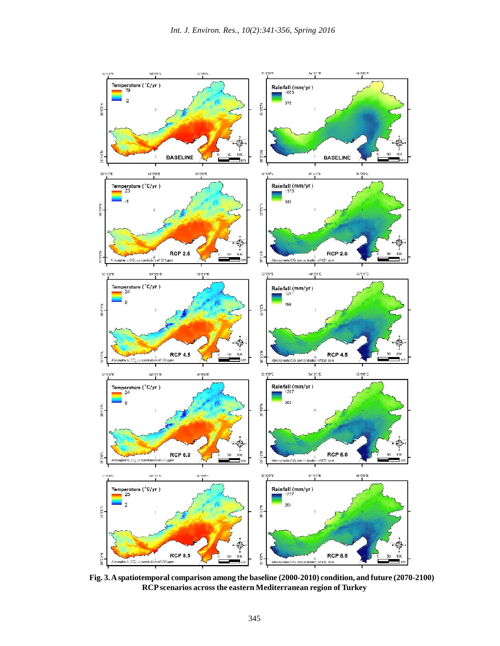

**Fig. 3. A spatiotemporal comparison among the baseline (2000-2010) condition, and future (2070-2100) RCP scenarios across the eastern Mediterranean region of Turkey**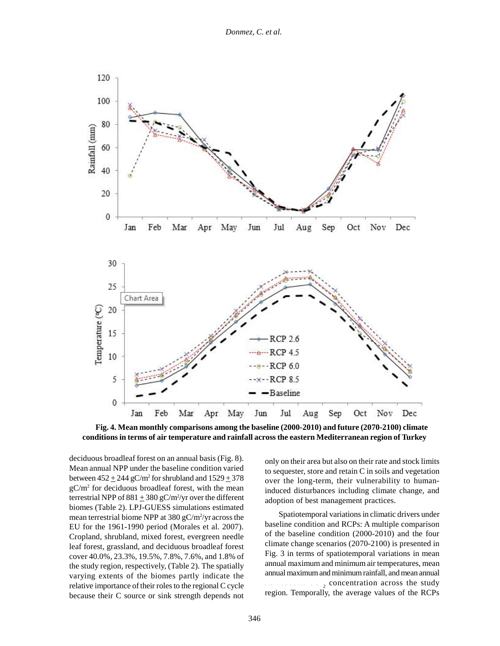

**Fig. 4. Mean monthly comparisons among the baseline (2000-2010) and future (2070-2100) climate conditions in terms of air temperature and rainfall across the eastern Mediterranean region of Turkey**

deciduous broadleaf forest on an annual basis (Fig. 8). Mean annual NPP under the baseline condition varied between  $452 \pm 244$  gC/m<sup>2</sup> for shrubland and  $1529 \pm 378$  $gC/m^2$  for deciduous broadleaf forest, with the mean  $r_{\text{inc}}$ terrestrial NPP of  $881 \pm 380$  gC/m<sup>2</sup>/yr over the different biomes (Table 2). LPJ-GUESS simulations estimated mean terrestrial biome NPP at 380 gC/m<sup>2</sup>/yr across the EU for the 1961-1990 period (Morales et al. 2007). Cropland, shrubland, mixed forest, evergreen needle leaf forest, grassland, and deciduous broadleaf forest cover 40.0%, 23.3%, 19.5%, 7.8%, 7.6%, and 1.8% of the study region, respectively, (Table 2). The spatially varying extents of the biomes partly indicate the relative importance of their roles to the regional C cycle because their C source or sink strength depends not

only on their area but also on their rate and stock limits to sequester, store and retain C in soils and vegetation over the long-term, their vulnerability to humaninduced disturbances including climate change, and adoption of best management practices.

Spatiotemporal variations in climatic drivers under baseline condition and RCPs: A multiple comparison of the baseline condition (2000-2010) and the four climate change scenarios (2070-2100) is presented in Fig. 3 in terms of spatiotemporal variations in mean annual maximum and minimum air temperatures, mean annual maximum and minimum rainfall, and mean annual  $\frac{1}{2}$  concentration across the study region. Temporally, the average values of the RCPs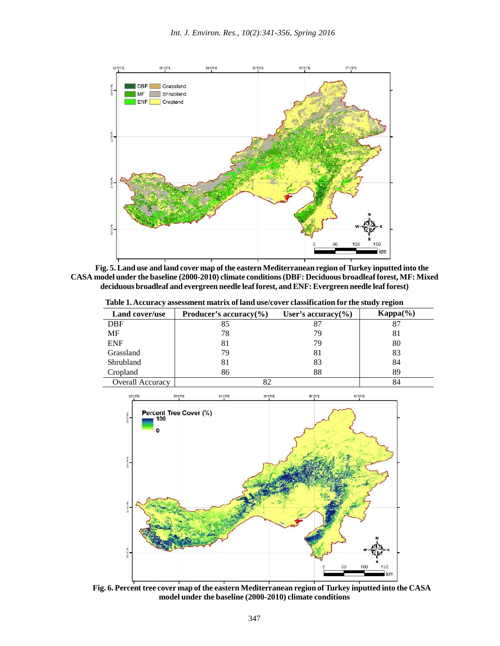

**Fig. 5. Land use and land cover map of the eastern Mediterranean region of Turkey inputted into the CASA model under the baseline (2000-2010) climate conditions (DBF: Deciduous broadleaf forest, MF: Mixed deciduous broadleaf and evergreen needle leaf forest, and ENF: Evergreen needle leaf forest)**

**Table 1. Accuracy assessment matrix of land use/cover classification for the study region**

| Land cover/use   | Producer's accuracy $(\% )$ | User's accuracy $(\% )$ | $Kappa(\%)$ |
|------------------|-----------------------------|-------------------------|-------------|
| <b>DBF</b>       | 85                          | 87                      | 87          |
| MF               | 78                          | 79                      | 81          |
| <b>ENF</b>       | 81                          | 79                      | 80          |
| Grassland        | 79                          | 81                      | 83          |
| Shrubland        | 81                          | 83                      | 84          |
| Cropland         | 86                          | 88                      | 89          |
| Overall Accuracy |                             |                         | 84          |



**Fig. 6. Percent tree cover map of the eastern Mediterranean region of Turkey inputted into the CASA model under the baseline (2000-2010) climate conditions**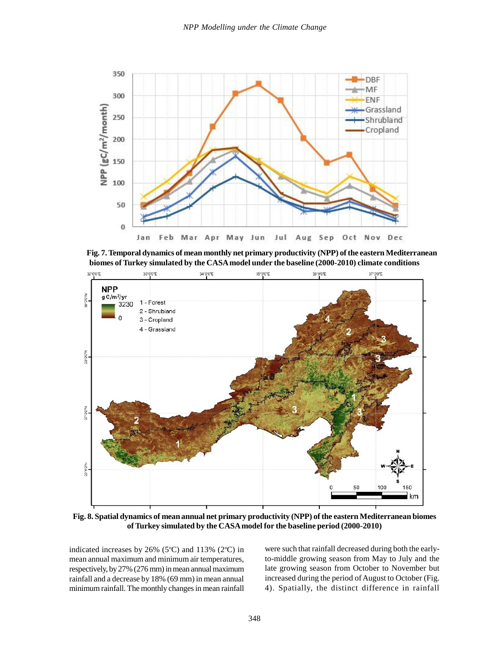

**Fig. 7. Temporal dynamics of mean monthly net primary productivity (NPP) of the eastern Mediterranean biomes of Turkey simulated by the CASA model under the baseline (2000-2010) climate conditions**



**Fig. 8. Spatial dynamics of mean annual net primary productivity (NPP) of the eastern Mediterranean biomes of Turkey simulated by the CASA model for the baseline period (2000-2010)**

indicated increases by  $26\%$  (5°C) and 113% (2°C) in mean annual maximum and minimum air temperatures, respectively, by 27% (276 mm) in mean annual maximum rainfall and a decrease by 18% (69 mm) in mean annual minimum rainfall. The monthly changes in mean rainfall were such that rainfall decreased during both the earlyto-middle growing season from May to July and the late growing season from October to November but increased during the period of August to October (Fig. 4). Spatially, the distinct difference in rainfall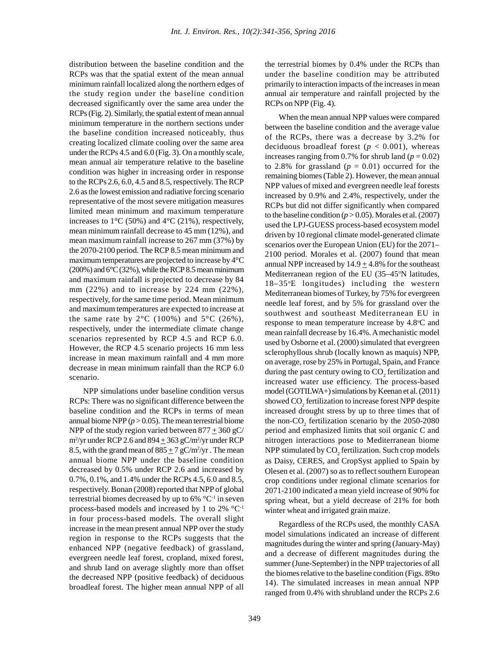distribution between the baseline condition and the RCPs was that the spatial extent of the mean annual minimum rainfall localized along the northern edges of the study region under the baseline condition decreased significantly over the same area under the RCPs (Fig. 2). Similarly, the spatial extent of mean annual minimum temperature in the northern sections under the baseline condition increased noticeably, thus creating localized climate cooling over the same area under the RCPs 4.5 and 6.0 (Fig. 3). On a monthly scale, mean annual air temperature relative to the baseline condition was higher in increasing order in response to the RCPs 2.6, 6.0, 4.5 and 8.5, respectively. The RCP 2.6 as the lowest emission and radiative forcing scenario representative of the most severe mitigation measures limited mean minimum and maximum temperature increases to  $1^{\circ}$ C (50%) and  $4^{\circ}$ C (21%), respectively, mean minimum rainfall decrease to 45 mm (12%), and mean maximum rainfall increase to 267 mm (37%) by the 2070-2100 period. The RCP 8.5 mean minimum and maximum temperatures are projected to increase by 4°C  $(200\%)$  and  $6^{\circ}$ C $(32\%)$ , while the RCP 8.5 mean minimum and maximum rainfall is projected to decrease by 84 mm (22%) and to increase by 224 mm (22%), respectively, for the same time period. Mean minimum and maximum temperatures are expected to increase at the same rate by  $2^{\circ}$ C (100%) and  $5^{\circ}$ C (26%), respectively, under the intermediate climate change scenarios represented by RCP 4.5 and RCP 6.0. However, the RCP 4.5 scenario projects 16 mm less increase in mean maximum rainfall and 4 mm more decrease in mean minimum rainfall than the RCP 6.0 scenario.

NPP simulations under baseline condition versus RCPs: There was no significant difference between the baseline condition and the RCPs in terms of mean annual biome NPP  $(p > 0.05)$ . The mean terrestrial biome NPP of the study region varied between  $877 + 360$  gC/  $\text{m}^2/\text{yr}$  under RCP 2.6 and  $894 \pm 363$  gC/m<sup>2</sup>/yr under RCP artist 8.5, with the grand mean of  $885 \pm 7$  gC/m<sup>2</sup>/yr. The mean NF annual biome NPP under the baseline condition decreased by 0.5% under RCP 2.6 and increased by 0.7%, 0.1%, and 1.4% under the RCPs 4.5, 6.0 and 8.5, respectively. Bonan (2008) reported that NPP of global terrestrial biomes decreased by up to  $6\%$  °C<sup>-1</sup> in seven process-based models and increased by 1 to 2% °C-1 in four process-based models. The overall slight increase in the mean present annual NPP over the study region in response to the RCPs suggests that the enhanced NPP (negative feedback) of grassland, evergreen needle leaf forest, cropland, mixed forest, and shrub land on average slightly more than offset the decreased NPP (positive feedback) of deciduous broadleaf forest. The higher mean annual NPP of all

the terrestrial biomes by 0.4% under the RCPs than under the baseline condition may be attributed primarily to interaction impacts of the increases in mean annual air temperature and rainfall projected by the RCPs on NPP (Fig. 4).

When the mean annual NPP values were compared between the baseline condition and the average value of the RCPs, there was a decrease by 3.2% for deciduous broadleaf forest ( $p < 0.001$ ), whereas increases ranging from 0.7% for shrub land ( $p = 0.02$ ) to 2.8% for grassland  $(p = 0.01)$  occurred for the remaining biomes (Table 2). However, the mean annual NPP values of mixed and evergreen needle leaf forests increased by 0.9% and 2.4%, respectively, under the RCPs but did not differ significantly when compared to the baseline condition  $(p > 0.05)$ . Morales et al. (2007) used the LPJ-GUESS process-based ecosystem model driven by 10 regional climate model-generated climate scenarios over the European Union (EU) for the 2071– 2100 period. Morales et al. (2007) found that mean annual NPP increased by  $14.9 \pm 4.8\%$  for the southeast Mediterranean region of the EU  $(35-45)$ °N latitudes,  $18-35$ <sup>o</sup>E longitudes) including the western Mediterranean biomes of Turkey, by 75% for evergreen needle leaf forest, and by 5% for grassland over the southwest and southeast Mediterranean EU in response to mean temperature increase by 4.8°C and mean rainfall decrease by 16.4%. A mechanistic model used by Osborne et al. (2000) simulated that evergreen sclerophyllous shrub (locally known as maquis) NPP, on average, rose by 25% in Portugal, Spain, and France during the past century owing to  $CO_2$  fertilization and increased water use efficiency. The process-based model (GOTILWA+) simulations by Keenan et al. (2011) showed  $\mathrm{CO}_2$  fertilization to increase forest NPP despite increased drought stress by up to three times that of the non- $CO_2$  fertilization scenario by the 2050-2080 period and emphasized limits that soil organic C and nitrogen interactions pose to Mediterranean biome NPP stimulated by  $\mathrm{CO}_2$  fertilization. Such crop models as Daisy, CERES, and CropSyst applied to Spain by Olesen et al. (2007) so as to reflect southern European crop conditions under regional climate scenarios for 2071-2100 indicated a mean yield increase of 90% for spring wheat, but a yield decrease of 21% for both winter wheat and irrigated grain maize.

Regardless of the RCPs used, the monthly CASA model simulations indicated an increase of different magnitudes during the winter and spring (January-May) and a decrease of different magnitudes during the summer (June-September) in the NPP trajectories of all the biomes relative to the baseline condition (Figs. 89to 14). The simulated increases in mean annual NPP ranged from 0.4% with shrubland under the RCPs 2.6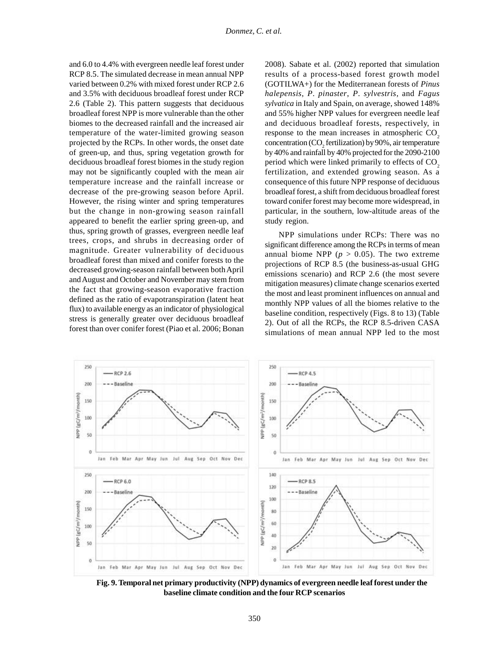and 6.0 to 4.4% with evergreen needle leaf forest under RCP 8.5. The simulated decrease in mean annual NPP varied between 0.2% with mixed forest under RCP 2.6 and 3.5% with deciduous broadleaf forest under RCP 2.6 (Table 2). This pattern suggests that deciduous broadleaf forest NPP is more vulnerable than the other biomes to the decreased rainfall and the increased air temperature of the water-limited growing season response to the mean increases in atmospheric CO<sub>3</sub> projected by the RCPs. In other words, the onset date of green-up, and thus, spring vegetation growth for deciduous broadleaf forest biomes in the study region period which were linked primarily to effects of CO<sub>3</sub> may not be significantly coupled with the mean air temperature increase and the rainfall increase or decrease of the pre-growing season before April. However, the rising winter and spring temperatures but the change in non-growing season rainfall appeared to benefit the earlier spring green-up, and thus, spring growth of grasses, evergreen needle leaf trees, crops, and shrubs in decreasing order of magnitude. Greater vulnerability of deciduous broadleaf forest than mixed and conifer forests to the decreased growing-season rainfall between both April and August and October and November may stem from the fact that growing-season evaporative fraction defined as the ratio of evapotranspiration (latent heat flux) to available energy as an indicator of physiological stress is generally greater over deciduous broadleaf forest than over conifer forest (Piao et al. 2006; Bonan

2008). Sabate et al. (2002) reported that simulation results of a process-based forest growth model (GOTILWA+) for the Mediterranean forests of *Pinus halepensis*, *P*. *pinaster*, *P*. *sylvestris*, and *Fagus sylvatica* in Italy and Spain, on average, showed 148% and 55% higher NPP values for evergreen needle leaf and deciduous broadleaf forests, respectively, in response to the mean increases in atmospheric  $CO_2$ <br>concentration ( $CO_2$  fertilization) by 90%, air temperature by 40% and rainfall by 40% projected for the 2090-2100 fertilization, and extended growing season. As a consequence of this future NPP response of deciduous broadleaf forest, a shift from deciduous broadleaf forest toward conifer forest may become more widespread, in particular, in the southern, low-altitude areas of the study region.

NPP simulations under RCPs: There was no significant difference among the RCPs in terms of mean annual biome NPP ( $p > 0.05$ ). The two extreme projections of RCP 8.5 (the business-as-usual GHG emissions scenario) and RCP 2.6 (the most severe mitigation measures) climate change scenarios exerted the most and least prominent influences on annual and monthly NPP values of all the biomes relative to the baseline condition, respectively (Figs. 8 to 13) (Table 2). Out of all the RCPs, the RCP 8.5-driven CASA simulations of mean annual NPP led to the most



**Fig. 9. Temporal net primary productivity (NPP) dynamics of evergreen needle leaf forest under the baseline climate condition and the four RCP scenarios**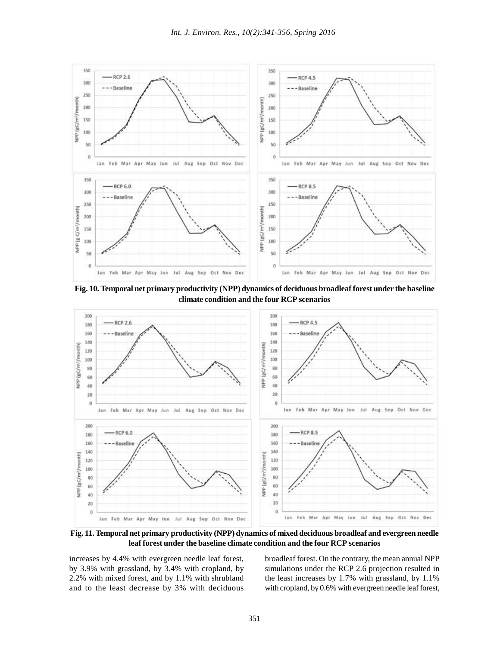

**Fig. 10. Temporal net primary productivity (NPP) dynamics of deciduous broadleaf forest under the baseline climate condition and the four RCP scenarios**



**Fig. 11. Temporal net primary productivity (NPP) dynamics of mixed deciduous broadleaf and evergreen needle leaf forest under the baseline climate condition and the four RCP scenarios**

increases by 4.4% with evergreen needle leaf forest, by 3.9% with grassland, by 3.4% with cropland, by 2.2% with mixed forest, and by 1.1% with shrubland and to the least decrease by 3% with deciduous broadleaf forest. On the contrary, the mean annual NPP simulations under the RCP 2.6 projection resulted in the least increases by 1.7% with grassland, by 1.1% with cropland, by 0.6% with evergreen needle leaf forest,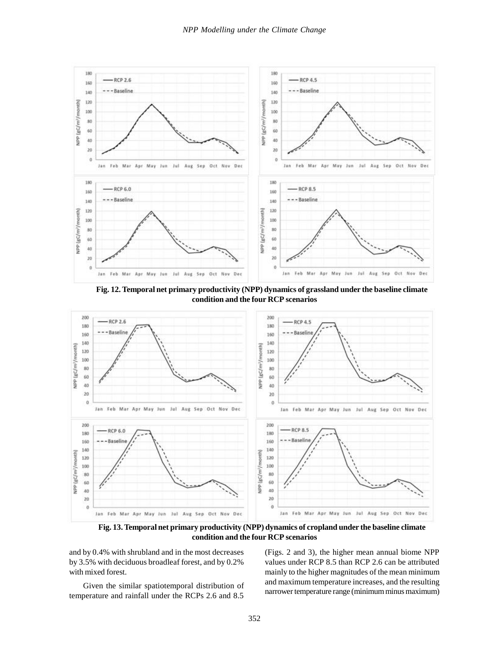

**Fig. 12. Temporal net primary productivity (NPP) dynamics of grassland under the baseline climate condition and the four RCP scenarios**



**Fig. 13. Temporal net primary productivity (NPP) dynamics of cropland under the baseline climate condition and the four RCP scenarios**

and by 0.4% with shrubland and in the most decreases by 3.5% with deciduous broadleaf forest, and by 0.2% with mixed forest.

Given the similar spatiotemporal distribution of temperature and rainfall under the RCPs 2.6 and 8.5

(Figs. 2 and 3), the higher mean annual biome NPP values under RCP 8.5 than RCP 2.6 can be attributed mainly to the higher magnitudes of the mean minimum and maximum temperature increases, and the resulting narrower temperature range (minimum minus maximum)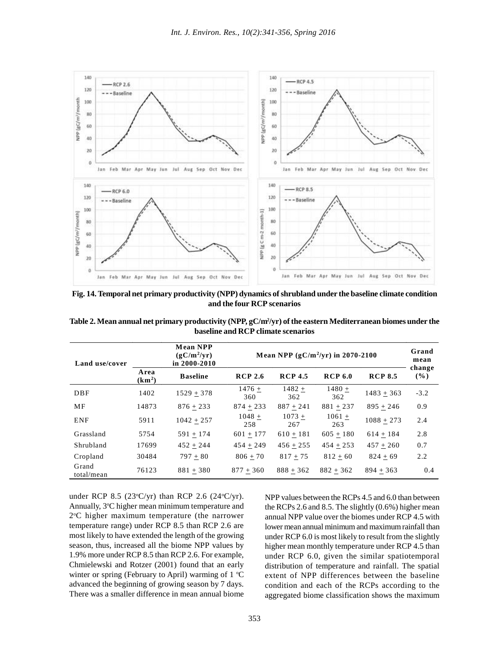

**Fig. 14. Temporal net primary productivity (NPP) dynamics of shrubland under the baseline climate condition and the four RCP scenarios**

| Table 2. Mean annual net primary productivity (NPP, gC/m <sup>2</sup> /yr) of the eastern Mediterranean biomes under the |  |
|--------------------------------------------------------------------------------------------------------------------------|--|
| baseline and RCP climate scenarios                                                                                       |  |

| and the four RCP scenarios |                            |                                                                                                                          |                                    |                 |                 |                |               |  |
|----------------------------|----------------------------|--------------------------------------------------------------------------------------------------------------------------|------------------------------------|-----------------|-----------------|----------------|---------------|--|
|                            |                            | Table 2. Mean annual net primary productivity (NPP, gC/m <sup>2</sup> /yr) of the eastern Mediterranean biomes under the | baseline and RCP climate scenarios |                 |                 |                |               |  |
| Land use/cover             |                            | <b>Mean NPP</b><br>$(gC/m^2/yr)$<br>Mean NPP $(gC/m^2/yr)$ in 2070-2100<br>in $2000 - 2010$                              |                                    |                 |                 |                | Grand<br>mean |  |
|                            | Area<br>(km <sup>2</sup> ) | <b>Baseline</b>                                                                                                          | <b>RCP 2.6</b>                     | <b>RCP 4.5</b>  | <b>RCP 6.0</b>  | <b>RCP 8.5</b> | change<br>(%) |  |
| DBF                        | 1402                       | $1529 + 378$                                                                                                             | $1476 +$<br>360                    | $1482 +$<br>362 | $1480 +$<br>362 | $1483 + 363$   | $-3.2$        |  |
| MF                         | 14873                      | $876 + 233$                                                                                                              | $874 + 233$                        | $887 + 241$     | $881 + 237$     | $895 + 246$    | 0.9           |  |
| <b>ENF</b>                 | 5911                       | $1042 + 257$                                                                                                             | $1048 +$<br>258                    | $1073 +$<br>267 | $1061 +$<br>263 | $1088 + 273$   | 2.4           |  |
| Grassland                  | 5754                       | $591 + 174$                                                                                                              | $601 + 177$                        | $610 + 181$     | $605 + 180$     | $614 + 184$    | 2.8           |  |
| Shrubland                  | 17699                      | $452 + 244$                                                                                                              | $454 + 249$                        | $456 + 255$     | $454 + 253$     | $457 + 260$    | 0.7           |  |
| Cropland                   | 30484                      | $797 + 80$                                                                                                               | $806 + 70$                         | $817 + 75$      | $812 + 60$      | $824 + 69$     | 2.2           |  |
| Grand<br>total/mean        | 76123                      | $881 + 380$                                                                                                              | $877 + 360$                        | $888 + 362$     | $882 + 362$     | $894 + 363$    | 0.4           |  |

under RCP 8.5 (23 $\textdegree$ C/yr) than RCP 2.6 (24 $\textdegree$ C/yr). Annually, 3°C higher mean minimum temperature and 2<sup>o</sup>C higher maximum temperature (the narrower temperature range) under RCP 8.5 than RCP 2.6 are most likely to have extended the length of the growing season, thus, increased all the biome NPP values by 1.9% more under RCP 8.5 than RCP 2.6. For example, Chmielewski and Rotzer (2001) found that an early winter or spring (February to April) warming of  $1 \,^{\circ}\mathrm{C}$ advanced the beginning of growing season by 7 days. There was a smaller difference in mean annual biome

NPP values between the RCPs 4.5 and 6.0 than between the RCPs 2.6 and 8.5. The slightly (0.6%) higher mean annual NPP value over the biomes under RCP 4.5 with lower mean annual minimum and maximum rainfall than under RCP 6.0 is most likely to result from the slightly higher mean monthly temperature under RCP 4.5 than under RCP 6.0, given the similar spatiotemporal distribution of temperature and rainfall. The spatial extent of NPP differences between the baseline condition and each of the RCPs according to the aggregated biome classification shows the maximum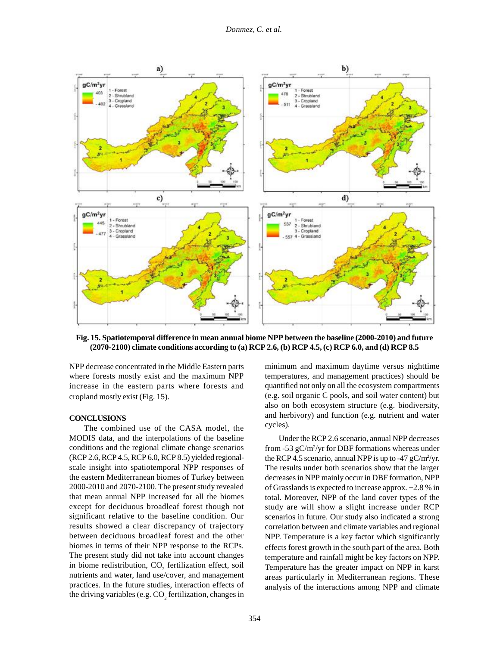*Donmez, C. et al.*



**Fig. 15. Spatiotemporal difference in mean annual biome NPP between the baseline (2000-2010) and future (2070-2100) climate conditions according to (a) RCP 2.6, (b) RCP 4.5, (c) RCP 6.0, and (d) RCP 8.5**

NPP decrease concentrated in the Middle Eastern parts where forests mostly exist and the maximum NPP increase in the eastern parts where forests and cropland mostly exist (Fig. 15).

#### **CONCLUSIONS**

The combined use of the CASA model, the MODIS data, and the interpolations of the baseline conditions and the regional climate change scenarios (RCP 2.6, RCP 4.5, RCP 6.0, RCP 8.5) yielded regionalscale insight into spatiotemporal NPP responses of the eastern Mediterranean biomes of Turkey between 2000-2010 and 2070-2100. The present study revealed that mean annual NPP increased for all the biomes except for deciduous broadleaf forest though not significant relative to the baseline condition. Our results showed a clear discrepancy of trajectory between deciduous broadleaf forest and the other biomes in terms of their NPP response to the RCPs. The present study did not take into account changes in biome redistribution,  $CO_2$  fertilization effect, soil nutrients and water, land use/cover, and management practices. In the future studies, interaction effects of the driving variables (e.g.  $\mathrm{CO}_2$  fertilization, changes in

minimum and maximum daytime versus nighttime temperatures, and management practices) should be quantified not only on all the ecosystem compartments (e.g. soil organic C pools, and soil water content) but also on both ecosystem structure (e.g. biodiversity, and herbivory) and function (e.g. nutrient and water cycles).

Under the RCP 2.6 scenario, annual NPP decreases from -53 gC/m<sup>2</sup> /yr for DBF formations whereas under the RCP 4.5 scenario, annual NPP is up to -47  $gC/m^2/yr$ . The results under both scenarios show that the larger decreases in NPP mainly occur in DBF formation, NPP of Grasslands is expected to increase approx. +2.8 % in total. Moreover, NPP of the land cover types of the study are will show a slight increase under RCP scenarios in future. Our study also indicated a strong correlation between and climate variables and regional NPP. Temperature is a key factor which significantly effects forest growth in the south part of the area. Both temperature and rainfall might be key factors on NPP. Temperature has the greater impact on NPP in karst areas particularly in Mediterranean regions. These analysis of the interactions among NPP and climate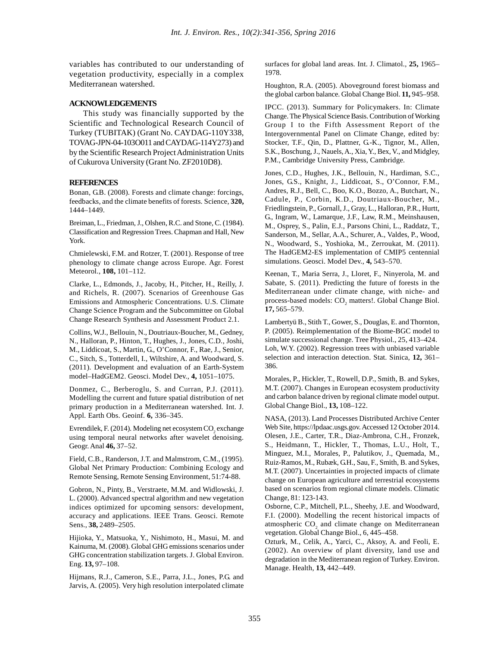variables has contributed to our understanding of vegetation productivity, especially in a complex Mediterranean watershed.

## **ACKNOWLEDGEMENTS**

This study was financially supported by the Scientific and Technological Research Council of Turkey (TUBITAK) (Grant No. CAYDAG-110Y338, TOVAG-JPN-04-103O011 and CAYDAG-114Y273) and by the Scientific Research Project Administration Units of Cukurova University (Grant No. ZF2010D8).

## **REFERENCES**

Bonan, G.B. (2008). Forests and climate change: forcings, feedbacks, and the climate benefits of forests. Science, **320,** 1444–1449.

Breiman, L., Friedman, J., Olshen, R.C. and Stone, C. (1984). Classification and Regression Trees. Chapman and Hall, New York.

Chmielewski, F.M. and Rotzer, T. (2001). Response of tree phenology to climate change across Europe. Agr. Forest Meteorol., **108,** 101–112.

Clarke, L., Edmonds, J., Jacoby, H., Pitcher, H., Reilly, J. and Richels, R. (2007). Scenarios of Greenhouse Gas Emissions and Atmospheric Concentrations. U.S. Climate Change Science Program and the Subcommittee on Global Change Research Synthesis and Assessment Product 2.1.

Collins, W.J., Bellouin, N., Doutriaux-Boucher, M., Gedney, N., Halloran, P., Hinton, T., Hughes, J., Jones, C.D., Joshi, M., Liddicoat, S., Martin, G., O'Connor, F., Rae, J., Senior, C., Sitch, S., Totterdell, I., Wiltshire, A. and Woodward, S. (2011). Development and evaluation of an Earth-System model–HadGEM2. Geosci. Model Dev., **4,** 1051–1075.

Donmez, C., Berberoglu, S. and Curran, P.J. (2011). Modelling the current and future spatial distribution of net primary production in a Mediterranean watershed. Int. J. Appl. Earth Obs. Geoinf. **6,** 336–345.

Evrendilek, F. (2014). Modeling net ecosystem  $CO_2$  exchange using temporal neural networks after wavelet denoising. Geogr. Anal **46,** 37–52.

Field, C.B., Randerson, J.T. and Malmstrom, C.M., (1995). Global Net Primary Production: Combining Ecology and Remote Sensing, Remote Sensing Environment, 51:74-88.

Gobron, N., Pinty, B., Verstraete, M.M. and Widlowski, J. L. (2000). Advanced spectral algorithm and new vegetation indices optimized for upcoming sensors: development, accuracy and applications. IEEE Trans. Geosci. Remote Sens., **38,** 2489–2505.

Hijioka, Y., Matsuoka, Y., Nishimoto, H., Masui, M. and Kainuma, M. (2008). Global GHG emissions scenarios under GHG concentration stabilization targets. J. Global Environ. Eng. **13,** 97–108.

Hijmans, R.J., Cameron, S.E., Parra, J.L., Jones, P.G. and Jarvis, A. (2005). Very high resolution interpolated climate

surfaces for global land areas. Int. J. Climatol., **25,** 1965– 1978.

Houghton, R.A. (2005). Aboveground forest biomass and the global carbon balance. Global Change Biol. **11,** 945–958.

IPCC. (2013). Summary for Policymakers. In: Climate Change. The Physical Science Basis. Contribution of Working Group I to the Fifth Assessment Report of the Intergovernmental Panel on Climate Change, edited by: Stocker, T.F., Qin, D., Plattner, G.-K., Tignor, M., Allen, S.K., Boschung, J., Nauels, A., Xia, Y., Bex, V., and Midgley, P.M., Cambridge University Press, Cambridge.

Jones, C.D., Hughes, J.K., Bellouin, N., Hardiman, S.C., Jones, G.S., Knight, J., Liddicoat, S., O'Connor, F.M., Andres, R.J., Bell, C., Boo, K.O., Bozzo, A., Butchart, N., Cadule, P., Corbin, K.D., Doutriaux-Boucher, M., Friedlingstein, P., Gornall, J., Gray, L., Halloran, P.R., Hurtt, G., Ingram, W., Lamarque, J.F., Law, R.M., Meinshausen, M., Osprey, S., Palin, E.J., Parsons Chini, L., Raddatz, T., Sanderson, M., Sellar, A.A., Schurer, A., Valdes, P., Wood, N., Woodward, S., Yoshioka, M., Zerroukat, M. (2011). The HadGEM2-ES implementation of CMIP5 centennial simulations. Geosci. Model Dev., **4,** 543–570.

Keenan, T., Maria Serra, J., Lloret, F., Ninyerola, M. and Sabate, S. (2011). Predicting the future of forests in the Mediterranean under climate change, with niche- and process-based models: CO<sub>2</sub> matters!. Global Change Biol. **17,** 565–579.

Lambertyü B., Stith T., Gower, S., Douglas, E. and Thornton, P. (2005). Reimplementation of the Biome-BGC model to simulate successional change. Tree Physiol., 25, 413–424. Loh, W.Y. (2002). Regression trees with unbiased variable selection and interaction detection. Stat. Sinica, **12,** 361– 386.

Morales, P., Hickler, T., Rowell, D.P., Smith, B. and Sykes, M.T. (2007). Changes in European ecosystem productivity and carbon balance driven by regional climate model output. Global Change Biol., **13,** 108–122.

NASA, (2013). Land Processes Distributed Archive Center Web Site, https://lpdaac.usgs.gov. Accessed 12 October 2014. Olesen, J.E., Carter, T.R., Diaz-Ambrona, C.H., Fronzek, S., Heidmann, T., Hickler, T., Thomas, L.U., Holt, T., Minguez, M.I., Morales, P., Palutikov, J., Quemada, M., Ruiz-Ramos, M., Rubæk, G.H., Sau, F., Smith, B. and Sykes, M.T. (2007). Uncertainties in projected impacts of climate change on European agriculture and terrestrial ecosystems based on scenarios from regional climate models. Climatic Change, 81: 123-143.

Osborne, C.P., Mitchell, P.L., Sheehy, J.E. and Woodward, F.I. (2000). Modelling the recent historical impacts of atmospheric  $CO<sub>2</sub>$  and climate change on Mediterranean vegetation. Global Change Biol., 6, 445–458.

Ozturk, M., Celik, A., Yarci, C., Aksoy, A. and Feoli, E. (2002). An overview of plant diversity, land use and degradation in the Mediterranean region of Turkey. Environ. Manage. Health, **13,** 442–449.